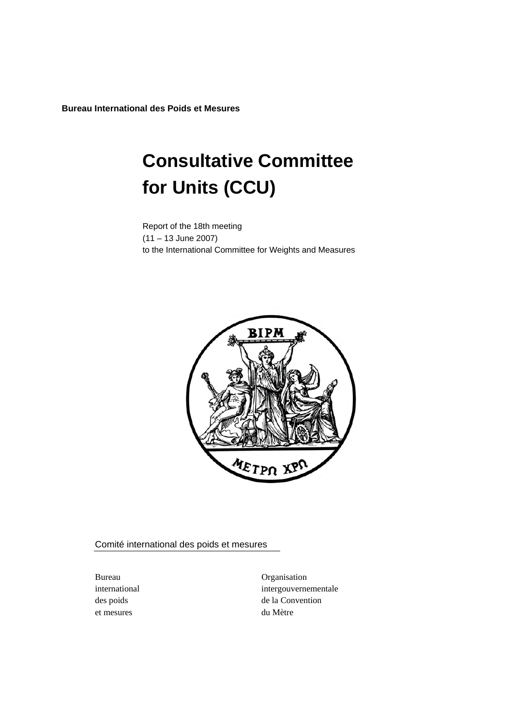**Bureau International des Poids et Mesures** 

# **Consultative Committee for Units (CCU)**

Report of the 18th meeting (11 – 13 June 2007) to the International Committee for Weights and Measures



Comité international des poids et mesures

et mesures du Mètre

Bureau Organisation international intergouvernementale des poids de la Convention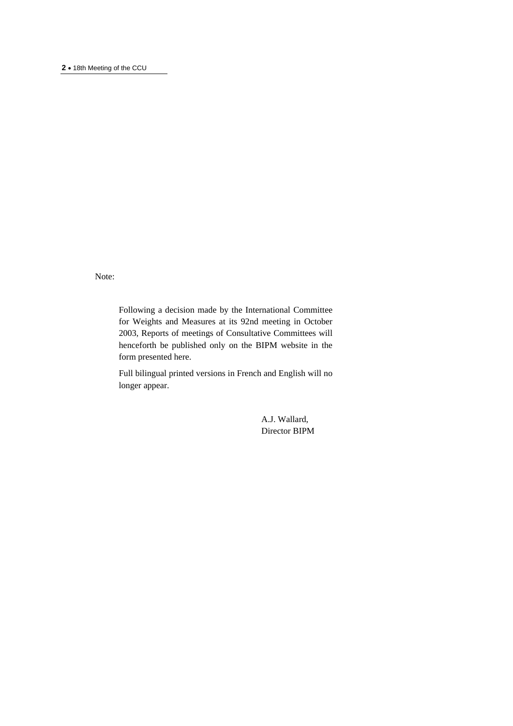Note:

Following a decision made by the International Committee for Weights and Measures at its 92nd meeting in October 2003, Reports of meetings of Consultative Committees will henceforth be published only on the BIPM website in the form presented here.

Full bilingual printed versions in French and English will no longer appear.

> A.J. Wallard, Director BIPM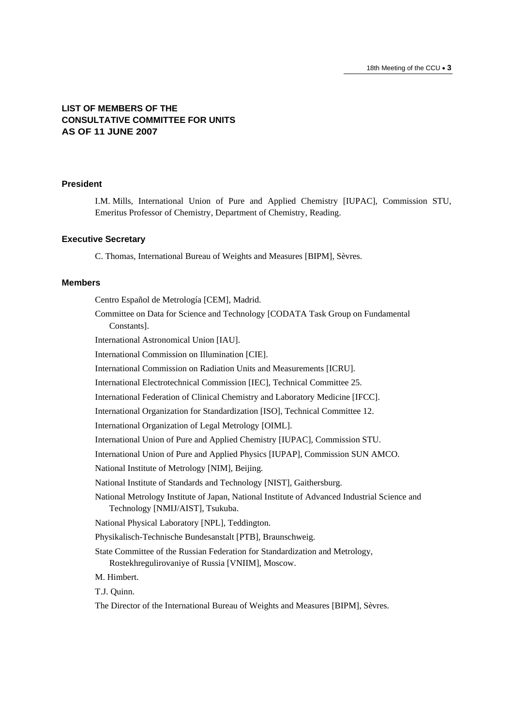# **LIST OF MEMBERS OF THE CONSULTATIVE COMMITTEE FOR UNITS AS OF 11 JUNE 2007**

# **President**

I.M. Mills, International Union of Pure and Applied Chemistry [IUPAC], Commission STU, Emeritus Professor of Chemistry, Department of Chemistry, Reading.

#### **Executive Secretary**

C. Thomas, International Bureau of Weights and Measures [BIPM], Sèvres.

#### **Members**

Centro Español de Metrología [CEM], Madrid. Committee on Data for Science and Technology [CODATA Task Group on Fundamental Constants]. International Astronomical Union [IAU]. International Commission on Illumination [CIE]. International Commission on Radiation Units and Measurements [ICRU]. International Electrotechnical Commission [IEC], Technical Committee 25. International Federation of Clinical Chemistry and Laboratory Medicine [IFCC]. International Organization for Standardization [ISO], Technical Committee 12. International Organization of Legal Metrology [OIML]. International Union of Pure and Applied Chemistry [IUPAC], Commission STU. International Union of Pure and Applied Physics [IUPAP], Commission SUN AMCO. National Institute of Metrology [NIM], Beijing. National Institute of Standards and Technology [NIST], Gaithersburg. National Metrology Institute of Japan, National Institute of Advanced Industrial Science and Technology [NMIJ/AIST], Tsukuba. National Physical Laboratory [NPL], Teddington. Physikalisch-Technische Bundesanstalt [PTB], Braunschweig. State Committee of the Russian Federation for Standardization and Metrology, Rostekhregulirovaniye of Russia [VNIIM], Moscow. M. Himbert. T.J. Quinn.

The Director of the International Bureau of Weights and Measures [BIPM], Sèvres.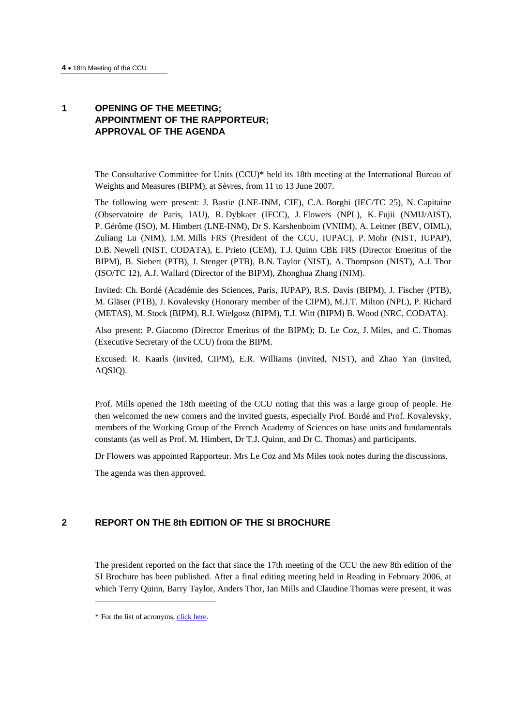# **1 OPENING OF THE MEETING; APPOINTMENT OF THE RAPPORTEUR; APPROVAL OF THE AGENDA**

The Consultative Committee for Units (CCU)\* held its 18th meeting at the International Bureau of Weights and Measures (BIPM), at Sèvres, from 11 to 13 June 2007.

The following were present: J. Bastie (LNE-INM, CIE), C.A. Borghi (IEC/TC 25), N. Capitaine (Observatoire de Paris, IAU), R. Dybkaer (IFCC), J. Flowers (NPL), K. Fujii (NMIJ/AIST), P. Gérôme (ISO), M. Himbert (LNE-INM), Dr S. Karshenboim (VNIIM), A. Leitner (BEV, OIML), Zuliang Lu (NIM), I.M. Mills FRS (President of the CCU, IUPAC), P. Mohr (NIST, IUPAP), D.B. Newell (NIST, CODATA), E. Prieto (CEM), T.J. Quinn CBE FRS (Director Emeritus of the BIPM), B. Siebert (PTB), J. Stenger (PTB), B.N. Taylor (NIST), A. Thompson (NIST), A.J. Thor (ISO/TC 12), A.J. Wallard (Director of the BIPM), Zhonghua Zhang (NIM).

Invited: Ch. Bordé (Académie des Sciences, Paris, IUPAP), R.S. Davis (BIPM), J. Fischer (PTB), M. Gläser (PTB), J. Kovalevsky (Honorary member of the CIPM), M.J.T. Milton (NPL), P. Richard (METAS), M. Stock (BIPM), R.I. Wielgosz (BIPM), T.J. Witt (BIPM) B. Wood (NRC, CODATA).

Also present: P. Giacomo (Director Emeritus of the BIPM); D. Le Coz, J. Miles, and C. Thomas (Executive Secretary of the CCU) from the BIPM.

Excused: R. Kaarls (invited, CIPM), E.R. Williams (invited, NIST), and Zhao Yan (invited, AQSIQ).

Prof. Mills opened the 18th meeting of the CCU noting that this was a large group of people. He then welcomed the new comers and the invited guests, especially Prof. Bordé and Prof. Kovalevsky, members of the Working Group of the French Academy of Sciences on base units and fundamentals constants (as well as Prof. M. Himbert, Dr T.J. Quinn, and Dr C. Thomas) and participants.

Dr Flowers was appointed Rapporteur. Mrs Le Coz and Ms Miles took notes during the discussions.

The agenda was then approved.

# **2 REPORT ON THE 8th EDITION OF THE SI BROCHURE**

The president reported on the fact that since the 17th meeting of the CCU the new 8th edition of the SI Brochure has been published. After a final editing meeting held in Reading in February 2006, at which Terry Quinn, Barry Taylor, Anders Thor, Ian Mills and Claudine Thomas were present, it was

 $\overline{\phantom{a}}$ 

<sup>\*</sup> For the list of acronym[s, click here.](https://www.bipm.org/en/practical_info/acronyms.html)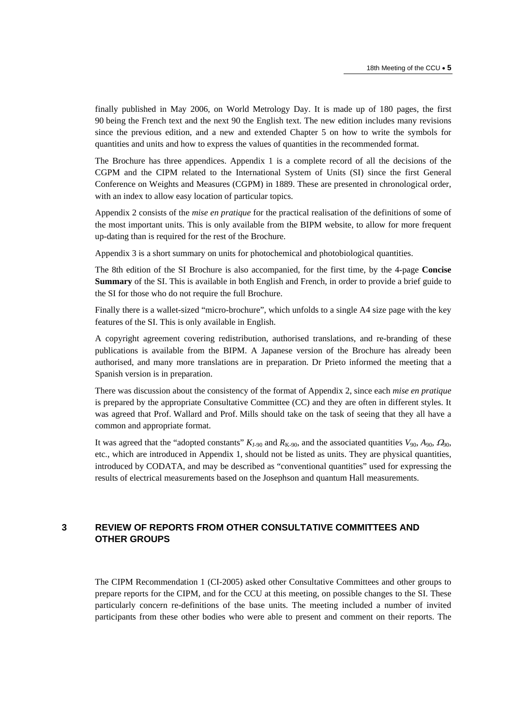finally published in May 2006, on World Metrology Day. It is made up of 180 pages, the first 90 being the French text and the next 90 the English text. The new edition includes many revisions since the previous edition, and a new and extended Chapter 5 on how to write the symbols for quantities and units and how to express the values of quantities in the recommended format.

The Brochure has three appendices. Appendix 1 is a complete record of all the decisions of the CGPM and the CIPM related to the International System of Units (SI) since the first General Conference on Weights and Measures (CGPM) in 1889. These are presented in chronological order, with an index to allow easy location of particular topics.

Appendix 2 consists of the *mise en pratique* for the practical realisation of the definitions of some of the most important units. This is only available from the BIPM website, to allow for more frequent up-dating than is required for the rest of the Brochure.

Appendix 3 is a short summary on units for photochemical and photobiological quantities.

The 8th edition of the SI Brochure is also accompanied, for the first time, by the 4-page **Concise Summary** of the SI. This is available in both English and French, in order to provide a brief guide to the SI for those who do not require the full Brochure.

Finally there is a wallet-sized "micro-brochure", which unfolds to a single A4 size page with the key features of the SI. This is only available in English.

A copyright agreement covering redistribution, authorised translations, and re-branding of these publications is available from the BIPM. A Japanese version of the Brochure has already been authorised, and many more translations are in preparation. Dr Prieto informed the meeting that a Spanish version is in preparation.

There was discussion about the consistency of the format of Appendix 2, since each *mise en pratique* is prepared by the appropriate Consultative Committee (CC) and they are often in different styles. It was agreed that Prof. Wallard and Prof. Mills should take on the task of seeing that they all have a common and appropriate format.

It was agreed that the "adopted constants"  $K_{1-90}$  and  $R_{K-90}$ , and the associated quantities  $V_{90}$ ,  $A_{90}$ ,  $\Omega_{90}$ , etc., which are introduced in Appendix 1, should not be listed as units. They are physical quantities, introduced by CODATA, and may be described as "conventional quantities" used for expressing the results of electrical measurements based on the Josephson and quantum Hall measurements.

# **3 REVIEW OF REPORTS FROM OTHER CONSULTATIVE COMMITTEES AND OTHER GROUPS**

The CIPM Recommendation 1 (CI-2005) asked other Consultative Committees and other groups to prepare reports for the CIPM, and for the CCU at this meeting, on possible changes to the SI. These particularly concern re-definitions of the base units. The meeting included a number of invited participants from these other bodies who were able to present and comment on their reports. The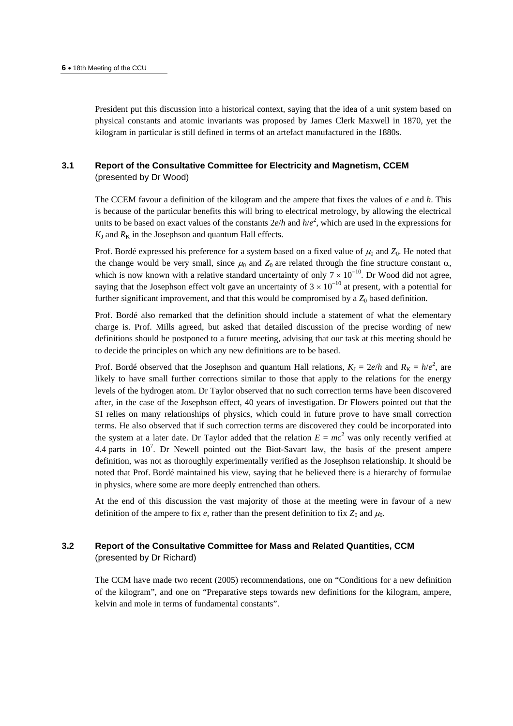President put this discussion into a historical context, saying that the idea of a unit system based on physical constants and atomic invariants was proposed by James Clerk Maxwell in 1870, yet the kilogram in particular is still defined in terms of an artefact manufactured in the 1880s.

# **3.1 Report of the Consultative Committee for Electricity and Magnetism, CCEM**  (presented by Dr Wood)

The CCEM favour a definition of the kilogram and the ampere that fixes the values of *e* and *h*. This is because of the particular benefits this will bring to electrical metrology, by allowing the electrical units to be based on exact values of the constants  $2e/h$  and  $h/e^2$ , which are used in the expressions for  $K_J$  and  $R_K$  in the Josephson and quantum Hall effects.

Prof. Bordé expressed his preference for a system based on a fixed value of  $\mu_0$  and  $Z_0$ . He noted that the change would be very small, since  $\mu_0$  and  $Z_0$  are related through the fine structure constant  $\alpha$ , which is now known with a relative standard uncertainty of only  $7 \times 10^{-10}$ . Dr Wood did not agree, saying that the Josephson effect volt gave an uncertainty of  $3 \times 10^{-10}$  at present, with a potential for further significant improvement, and that this would be compromised by a  $Z_0$  based definition.

Prof. Bordé also remarked that the definition should include a statement of what the elementary charge is. Prof. Mills agreed, but asked that detailed discussion of the precise wording of new definitions should be postponed to a future meeting, advising that our task at this meeting should be to decide the principles on which any new definitions are to be based.

Prof. Bordé observed that the Josephson and quantum Hall relations,  $K_J = 2e/h$  and  $R_K = h/e^2$ , are likely to have small further corrections similar to those that apply to the relations for the energy levels of the hydrogen atom. Dr Taylor observed that no such correction terms have been discovered after, in the case of the Josephson effect, 40 years of investigation. Dr Flowers pointed out that the SI relies on many relationships of physics, which could in future prove to have small correction terms. He also observed that if such correction terms are discovered they could be incorporated into the system at a later date. Dr Taylor added that the relation  $E = mc^2$  was only recently verified at 4.4 parts in  $10^7$ . Dr Newell pointed out the Biot-Savart law, the basis of the present ampere definition, was not as thoroughly experimentally verified as the Josephson relationship. It should be noted that Prof. Bordé maintained his view, saying that he believed there is a hierarchy of formulae in physics, where some are more deeply entrenched than others.

At the end of this discussion the vast majority of those at the meeting were in favour of a new definition of the ampere to fix  $e$ , rather than the present definition to fix  $Z_0$  and  $\mu_0$ .

# **3.2 Report of the Consultative Committee for Mass and Related Quantities, CCM**  (presented by Dr Richard)

The CCM have made two recent (2005) recommendations, one on "Conditions for a new definition of the kilogram", and one on "Preparative steps towards new definitions for the kilogram, ampere, kelvin and mole in terms of fundamental constants".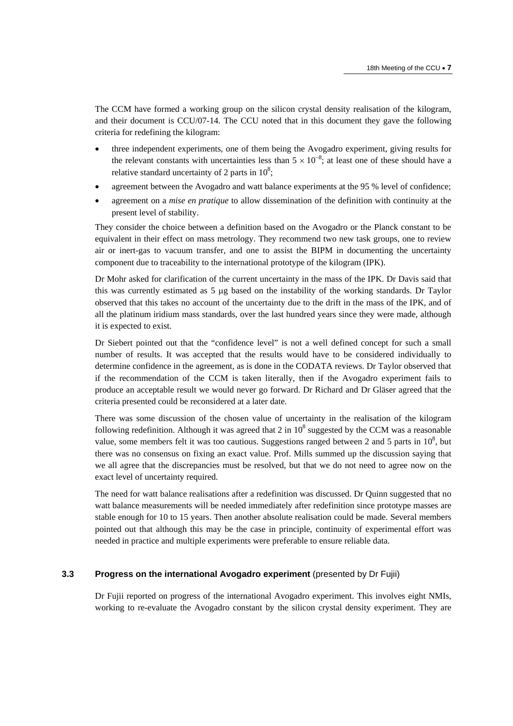The CCM have formed a working group on the silicon crystal density realisation of the kilogram, and their document is CCU/07-14. The CCU noted that in this document they gave the following criteria for redefining the kilogram:

- three independent experiments, one of them being the Avogadro experiment, giving results for the relevant constants with uncertainties less than  $5 \times 10^{-8}$ ; at least one of these should have a relative standard uncertainty of 2 parts in  $10^8$ ;
- agreement between the Avogadro and watt balance experiments at the 95 % level of confidence;
- agreement on a *mise en pratique* to allow dissemination of the definition with continuity at the present level of stability.

They consider the choice between a definition based on the Avogadro or the Planck constant to be equivalent in their effect on mass metrology. They recommend two new task groups, one to review air or inert-gas to vacuum transfer, and one to assist the BIPM in documenting the uncertainty component due to traceability to the international prototype of the kilogram (IPK).

Dr Mohr asked for clarification of the current uncertainty in the mass of the IPK. Dr Davis said that this was currently estimated as 5 μg based on the instability of the working standards. Dr Taylor observed that this takes no account of the uncertainty due to the drift in the mass of the IPK, and of all the platinum iridium mass standards, over the last hundred years since they were made, although it is expected to exist.

Dr Siebert pointed out that the "confidence level" is not a well defined concept for such a small number of results. It was accepted that the results would have to be considered individually to determine confidence in the agreement, as is done in the CODATA reviews. Dr Taylor observed that if the recommendation of the CCM is taken literally, then if the Avogadro experiment fails to produce an acceptable result we would never go forward. Dr Richard and Dr Gläser agreed that the criteria presented could be reconsidered at a later date.

There was some discussion of the chosen value of uncertainty in the realisation of the kilogram following redefinition. Although it was agreed that 2 in  $10^8$  suggested by the CCM was a reasonable value, some members felt it was too cautious. Suggestions ranged between 2 and 5 parts in  $10^8$ , but there was no consensus on fixing an exact value. Prof. Mills summed up the discussion saying that we all agree that the discrepancies must be resolved, but that we do not need to agree now on the exact level of uncertainty required.

The need for watt balance realisations after a redefinition was discussed. Dr Quinn suggested that no watt balance measurements will be needed immediately after redefinition since prototype masses are stable enough for 10 to 15 years. Then another absolute realisation could be made. Several members pointed out that although this may be the case in principle, continuity of experimental effort was needed in practice and multiple experiments were preferable to ensure reliable data.

#### **3.3 Progress on the international Avogadro experiment** (presented by Dr Fujii)

Dr Fujii reported on progress of the international Avogadro experiment. This involves eight NMIs, working to re-evaluate the Avogadro constant by the silicon crystal density experiment. They are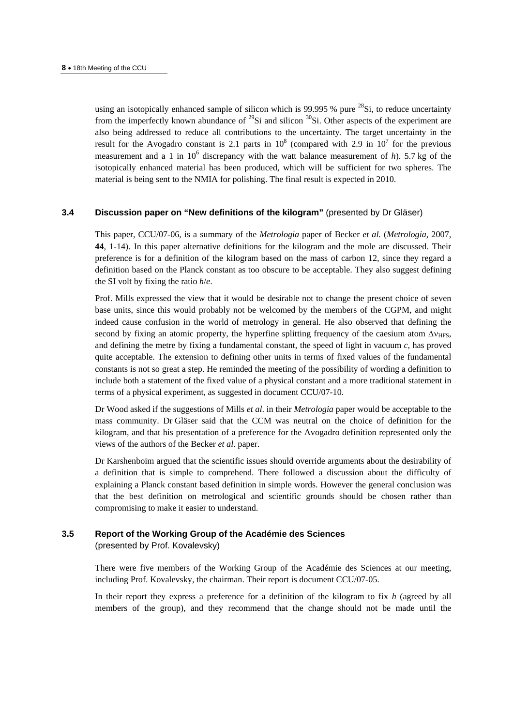using an isotopically enhanced sample of silicon which is 99.995 % pure  $^{28}$ Si, to reduce uncertainty from the imperfectly known abundance of  $^{29}Si$  and silicon  $^{30}Si$ . Other aspects of the experiment are also being addressed to reduce all contributions to the uncertainty. The target uncertainty in the result for the Avogadro constant is 2.1 parts in  $10^8$  (compared with 2.9 in  $10^7$  for the previous measurement and a 1 in  $10^6$  discrepancy with the watt balance measurement of *h*). 5.7 kg of the isotopically enhanced material has been produced, which will be sufficient for two spheres. The material is being sent to the NMIA for polishing. The final result is expected in 2010.

# **3.4 Discussion paper on "New definitions of the kilogram"** (presented by Dr Gläser)

This paper, CCU/07-06, is a summary of the *Metrologia* paper of Becker *et al.* (*Metrologia,* 2007, **44**, 1-14). In this paper alternative definitions for the kilogram and the mole are discussed. Their preference is for a definition of the kilogram based on the mass of carbon 12, since they regard a definition based on the Planck constant as too obscure to be acceptable. They also suggest defining the SI volt by fixing the ratio *h*/*e*.

Prof. Mills expressed the view that it would be desirable not to change the present choice of seven base units, since this would probably not be welcomed by the members of the CGPM, and might indeed cause confusion in the world of metrology in general. He also observed that defining the second by fixing an atomic property, the hyperfine splitting frequency of the caesium atom  $\Delta v_{\text{HFS}}$ , and defining the metre by fixing a fundamental constant, the speed of light in vacuum *c*, has proved quite acceptable. The extension to defining other units in terms of fixed values of the fundamental constants is not so great a step. He reminded the meeting of the possibility of wording a definition to include both a statement of the fixed value of a physical constant and a more traditional statement in terms of a physical experiment, as suggested in document CCU/07-10.

Dr Wood asked if the suggestions of Mills *et al*. in their *Metrologia* paper would be acceptable to the mass community. Dr Gläser said that the CCM was neutral on the choice of definition for the kilogram, and that his presentation of a preference for the Avogadro definition represented only the views of the authors of the Becker *et al*. paper.

Dr Karshenboim argued that the scientific issues should override arguments about the desirability of a definition that is simple to comprehend. There followed a discussion about the difficulty of explaining a Planck constant based definition in simple words. However the general conclusion was that the best definition on metrological and scientific grounds should be chosen rather than compromising to make it easier to understand.

#### **3.5 Report of the Working Group of the Académie des Sciences**

(presented by Prof. Kovalevsky)

There were five members of the Working Group of the Académie des Sciences at our meeting, including Prof. Kovalevsky, the chairman. Their report is document CCU/07-05.

In their report they express a preference for a definition of the kilogram to fix *h* (agreed by all members of the group), and they recommend that the change should not be made until the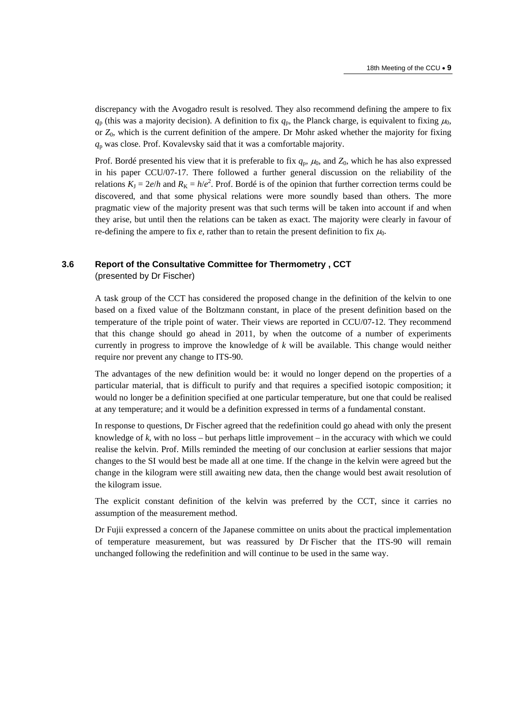discrepancy with the Avogadro result is resolved. They also recommend defining the ampere to fix  $q_p$  (this was a majority decision). A definition to fix  $q_p$ , the Planck charge, is equivalent to fixing  $\mu_0$ , or *Z*0, which is the current definition of the ampere. Dr Mohr asked whether the majority for fixing *q*p was close. Prof. Kovalevsky said that it was a comfortable majority.

Prof. Bordé presented his view that it is preferable to fix  $q_p$ ,  $\mu_0$ , and  $Z_0$ , which he has also expressed in his paper CCU/07-17. There followed a further general discussion on the reliability of the relations  $K_J = 2e/h$  and  $R_K = h/e^2$ . Prof. Bordé is of the opinion that further correction terms could be discovered, and that some physical relations were more soundly based than others. The more pragmatic view of the majority present was that such terms will be taken into account if and when they arise, but until then the relations can be taken as exact. The majority were clearly in favour of re-defining the ampere to fix  $e$ , rather than to retain the present definition to fix  $\mu_0$ .

#### **3.6 Report of the Consultative Committee for Thermometry , CCT**

(presented by Dr Fischer)

A task group of the CCT has considered the proposed change in the definition of the kelvin to one based on a fixed value of the Boltzmann constant, in place of the present definition based on the temperature of the triple point of water. Their views are reported in CCU/07-12. They recommend that this change should go ahead in 2011, by when the outcome of a number of experiments currently in progress to improve the knowledge of *k* will be available. This change would neither require nor prevent any change to ITS-90.

The advantages of the new definition would be: it would no longer depend on the properties of a particular material, that is difficult to purify and that requires a specified isotopic composition; it would no longer be a definition specified at one particular temperature, but one that could be realised at any temperature; and it would be a definition expressed in terms of a fundamental constant.

In response to questions, Dr Fischer agreed that the redefinition could go ahead with only the present knowledge of *k*, with no loss – but perhaps little improvement – in the accuracy with which we could realise the kelvin. Prof. Mills reminded the meeting of our conclusion at earlier sessions that major changes to the SI would best be made all at one time. If the change in the kelvin were agreed but the change in the kilogram were still awaiting new data, then the change would best await resolution of the kilogram issue.

The explicit constant definition of the kelvin was preferred by the CCT, since it carries no assumption of the measurement method.

Dr Fujii expressed a concern of the Japanese committee on units about the practical implementation of temperature measurement, but was reassured by Dr Fischer that the ITS-90 will remain unchanged following the redefinition and will continue to be used in the same way.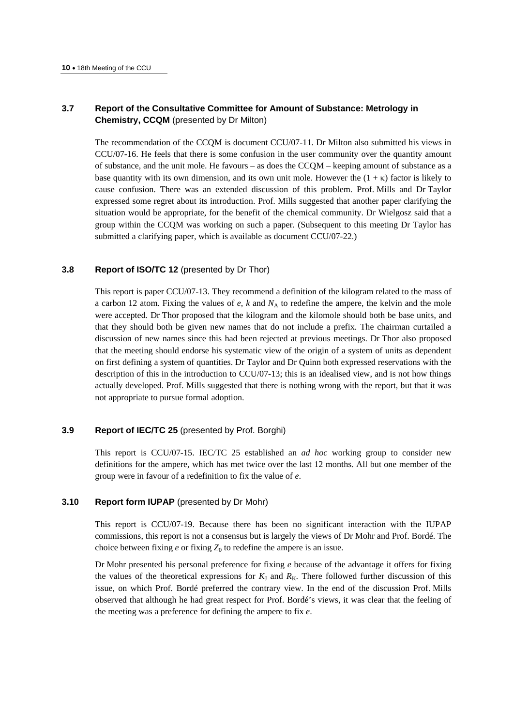# **3.7 Report of the Consultative Committee for Amount of Substance: Metrology in Chemistry, CCQM** (presented by Dr Milton)

The recommendation of the CCQM is document CCU/07-11. Dr Milton also submitted his views in CCU/07-16. He feels that there is some confusion in the user community over the quantity amount of substance, and the unit mole. He favours – as does the CCQM – keeping amount of substance as a base quantity with its own dimension, and its own unit mole. However the  $(1 + \kappa)$  factor is likely to cause confusion. There was an extended discussion of this problem. Prof. Mills and Dr Taylor expressed some regret about its introduction. Prof. Mills suggested that another paper clarifying the situation would be appropriate, for the benefit of the chemical community. Dr Wielgosz said that a group within the CCQM was working on such a paper. (Subsequent to this meeting Dr Taylor has submitted a clarifying paper, which is available as document CCU/07-22.)

## **3.8 Report of ISO/TC 12** (presented by Dr Thor)

This report is paper CCU/07-13. They recommend a definition of the kilogram related to the mass of a carbon 12 atom. Fixing the values of  $e$ ,  $k$  and  $N_A$  to redefine the ampere, the kelvin and the mole were accepted. Dr Thor proposed that the kilogram and the kilomole should both be base units, and that they should both be given new names that do not include a prefix. The chairman curtailed a discussion of new names since this had been rejected at previous meetings. Dr Thor also proposed that the meeting should endorse his systematic view of the origin of a system of units as dependent on first defining a system of quantities. Dr Taylor and Dr Quinn both expressed reservations with the description of this in the introduction to CCU/07-13; this is an idealised view, and is not how things actually developed. Prof. Mills suggested that there is nothing wrong with the report, but that it was not appropriate to pursue formal adoption.

#### **3.9 Report of IEC/TC 25** (presented by Prof. Borghi)

This report is CCU/07-15. IEC/TC 25 established an *ad hoc* working group to consider new definitions for the ampere, which has met twice over the last 12 months. All but one member of the group were in favour of a redefinition to fix the value of *e*.

# **3.10 Report form IUPAP** (presented by Dr Mohr)

This report is CCU/07-19. Because there has been no significant interaction with the IUPAP commissions, this report is not a consensus but is largely the views of Dr Mohr and Prof. Bordé. The choice between fixing  $e$  or fixing  $Z_0$  to redefine the ampere is an issue.

Dr Mohr presented his personal preference for fixing *e* because of the advantage it offers for fixing the values of the theoretical expressions for  $K<sub>J</sub>$  and  $R<sub>K</sub>$ . There followed further discussion of this issue, on which Prof. Bordé preferred the contrary view. In the end of the discussion Prof. Mills observed that although he had great respect for Prof. Bordé's views, it was clear that the feeling of the meeting was a preference for defining the ampere to fix *e*.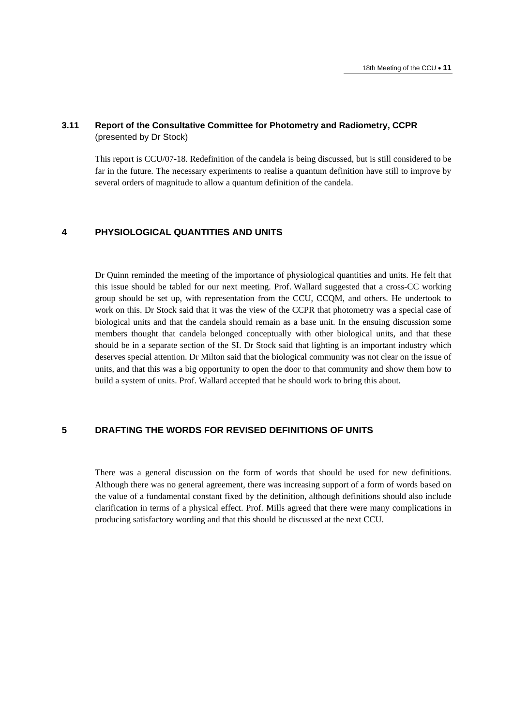## **3.11 Report of the Consultative Committee for Photometry and Radiometry, CCPR**  (presented by Dr Stock)

This report is CCU/07-18. Redefinition of the candela is being discussed, but is still considered to be far in the future. The necessary experiments to realise a quantum definition have still to improve by several orders of magnitude to allow a quantum definition of the candela.

# **4 PHYSIOLOGICAL QUANTITIES AND UNITS**

Dr Quinn reminded the meeting of the importance of physiological quantities and units. He felt that this issue should be tabled for our next meeting. Prof. Wallard suggested that a cross-CC working group should be set up, with representation from the CCU, CCQM, and others. He undertook to work on this. Dr Stock said that it was the view of the CCPR that photometry was a special case of biological units and that the candela should remain as a base unit. In the ensuing discussion some members thought that candela belonged conceptually with other biological units, and that these should be in a separate section of the SI. Dr Stock said that lighting is an important industry which deserves special attention. Dr Milton said that the biological community was not clear on the issue of units, and that this was a big opportunity to open the door to that community and show them how to build a system of units. Prof. Wallard accepted that he should work to bring this about.

## **5 DRAFTING THE WORDS FOR REVISED DEFINITIONS OF UNITS**

There was a general discussion on the form of words that should be used for new definitions. Although there was no general agreement, there was increasing support of a form of words based on the value of a fundamental constant fixed by the definition, although definitions should also include clarification in terms of a physical effect. Prof. Mills agreed that there were many complications in producing satisfactory wording and that this should be discussed at the next CCU.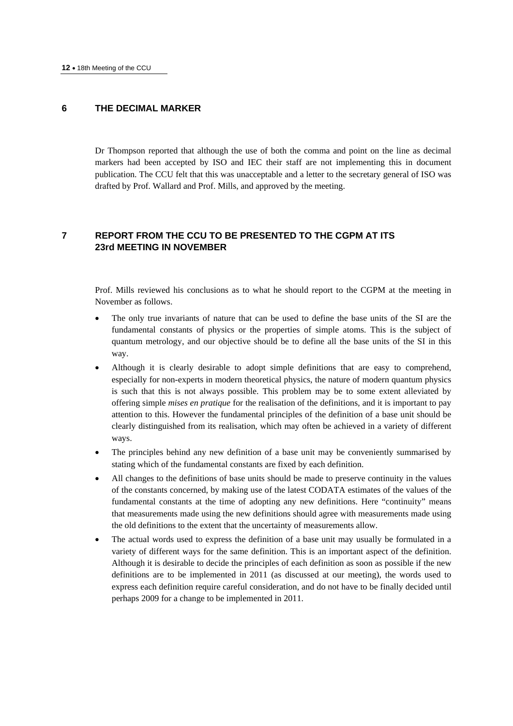## **6 THE DECIMAL MARKER**

Dr Thompson reported that although the use of both the comma and point on the line as decimal markers had been accepted by ISO and IEC their staff are not implementing this in document publication. The CCU felt that this was unacceptable and a letter to the secretary general of ISO was drafted by Prof. Wallard and Prof. Mills, and approved by the meeting.

# **7 REPORT FROM THE CCU TO BE PRESENTED TO THE CGPM AT ITS 23rd MEETING IN NOVEMBER**

Prof. Mills reviewed his conclusions as to what he should report to the CGPM at the meeting in November as follows.

- The only true invariants of nature that can be used to define the base units of the SI are the fundamental constants of physics or the properties of simple atoms. This is the subject of quantum metrology, and our objective should be to define all the base units of the SI in this way.
- Although it is clearly desirable to adopt simple definitions that are easy to comprehend, especially for non-experts in modern theoretical physics, the nature of modern quantum physics is such that this is not always possible. This problem may be to some extent alleviated by offering simple *mises en pratique* for the realisation of the definitions, and it is important to pay attention to this. However the fundamental principles of the definition of a base unit should be clearly distinguished from its realisation, which may often be achieved in a variety of different ways.
- The principles behind any new definition of a base unit may be conveniently summarised by stating which of the fundamental constants are fixed by each definition.
- All changes to the definitions of base units should be made to preserve continuity in the values of the constants concerned, by making use of the latest CODATA estimates of the values of the fundamental constants at the time of adopting any new definitions. Here "continuity" means that measurements made using the new definitions should agree with measurements made using the old definitions to the extent that the uncertainty of measurements allow.
- The actual words used to express the definition of a base unit may usually be formulated in a variety of different ways for the same definition. This is an important aspect of the definition. Although it is desirable to decide the principles of each definition as soon as possible if the new definitions are to be implemented in 2011 (as discussed at our meeting), the words used to express each definition require careful consideration, and do not have to be finally decided until perhaps 2009 for a change to be implemented in 2011.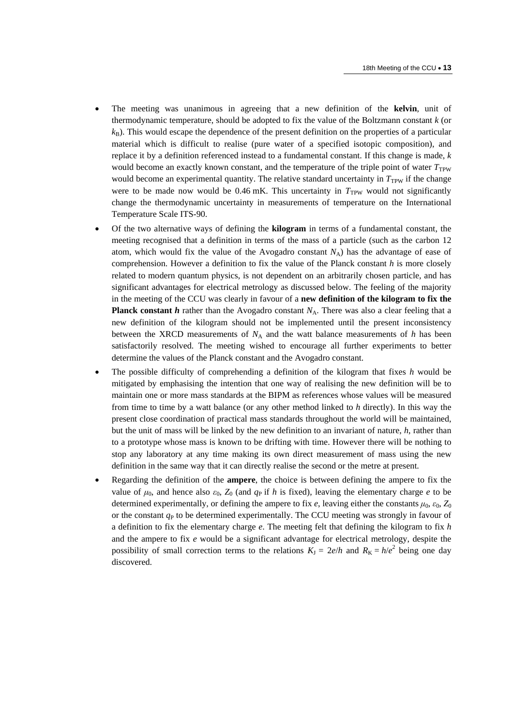- The meeting was unanimous in agreeing that a new definition of the **kelvin**, unit of thermodynamic temperature, should be adopted to fix the value of the Boltzmann constant *k* (or  $k_B$ ). This would escape the dependence of the present definition on the properties of a particular material which is difficult to realise (pure water of a specified isotopic composition), and replace it by a definition referenced instead to a fundamental constant. If this change is made, *k* would become an exactly known constant, and the temperature of the triple point of water  $T_{\text{TPW}}$ would become an experimental quantity. The relative standard uncertainty in  $T<sub>TPW</sub>$  if the change were to be made now would be 0.46 mK. This uncertainty in  $T_{TPW}$  would not significantly change the thermodynamic uncertainty in measurements of temperature on the International Temperature Scale ITS-90.
- Of the two alternative ways of defining the **kilogram** in terms of a fundamental constant, the meeting recognised that a definition in terms of the mass of a particle (such as the carbon 12 atom, which would fix the value of the Avogadro constant  $N_A$ ) has the advantage of ease of comprehension. However a definition to fix the value of the Planck constant *h* is more closely related to modern quantum physics, is not dependent on an arbitrarily chosen particle, and has significant advantages for electrical metrology as discussed below. The feeling of the majority in the meeting of the CCU was clearly in favour of a **new definition of the kilogram to fix the Planck constant**  $h$  rather than the Avogadro constant  $N_A$ . There was also a clear feeling that a new definition of the kilogram should not be implemented until the present inconsistency between the XRCD measurements of  $N_A$  and the watt balance measurements of  $h$  has been satisfactorily resolved. The meeting wished to encourage all further experiments to better determine the values of the Planck constant and the Avogadro constant.
- The possible difficulty of comprehending a definition of the kilogram that fixes *h* would be mitigated by emphasising the intention that one way of realising the new definition will be to maintain one or more mass standards at the BIPM as references whose values will be measured from time to time by a watt balance (or any other method linked to *h* directly). In this way the present close coordination of practical mass standards throughout the world will be maintained, but the unit of mass will be linked by the new definition to an invariant of nature, *h*, rather than to a prototype whose mass is known to be drifting with time. However there will be nothing to stop any laboratory at any time making its own direct measurement of mass using the new definition in the same way that it can directly realise the second or the metre at present.
- Regarding the definition of the **ampere**, the choice is between defining the ampere to fix the value of  $\mu_0$ , and hence also  $\varepsilon_0$ ,  $Z_0$  (and  $q_P$  if *h* is fixed), leaving the elementary charge *e* to be determined experimentally, or defining the ampere to fix *e*, leaving either the constants  $\mu_0$ ,  $\varepsilon_0$ ,  $Z_0$ or the constant  $q<sub>P</sub>$  to be determined experimentally. The CCU meeting was strongly in favour of a definition to fix the elementary charge *e*. The meeting felt that defining the kilogram to fix *h* and the ampere to fix *e* would be a significant advantage for electrical metrology, despite the possibility of small correction terms to the relations  $K_J = 2e/h$  and  $R_K = h/e^2$  being one day discovered.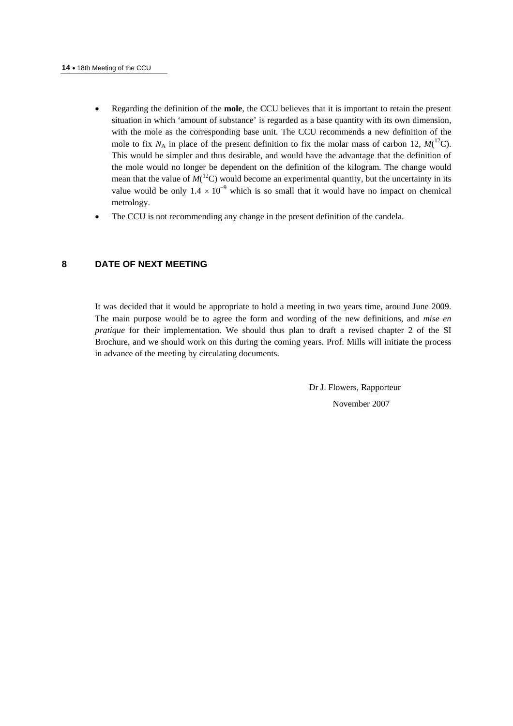- Regarding the definition of the **mole**, the CCU believes that it is important to retain the present situation in which 'amount of substance' is regarded as a base quantity with its own dimension, with the mole as the corresponding base unit. The CCU recommends a new definition of the mole to fix  $N_A$  in place of the present definition to fix the molar mass of carbon 12,  $M(^{12}C)$ . This would be simpler and thus desirable, and would have the advantage that the definition of the mole would no longer be dependent on the definition of the kilogram. The change would mean that the value of  $M(^{12}C)$  would become an experimental quantity, but the uncertainty in its value would be only  $1.4 \times 10^{-9}$  which is so small that it would have no impact on chemical metrology.
- The CCU is not recommending any change in the present definition of the candela.

# **8 DATE OF NEXT MEETING**

It was decided that it would be appropriate to hold a meeting in two years time, around June 2009. The main purpose would be to agree the form and wording of the new definitions, and *mise en pratique* for their implementation. We should thus plan to draft a revised chapter 2 of the SI Brochure, and we should work on this during the coming years. Prof. Mills will initiate the process in advance of the meeting by circulating documents.

> Dr J. Flowers, Rapporteur November 2007